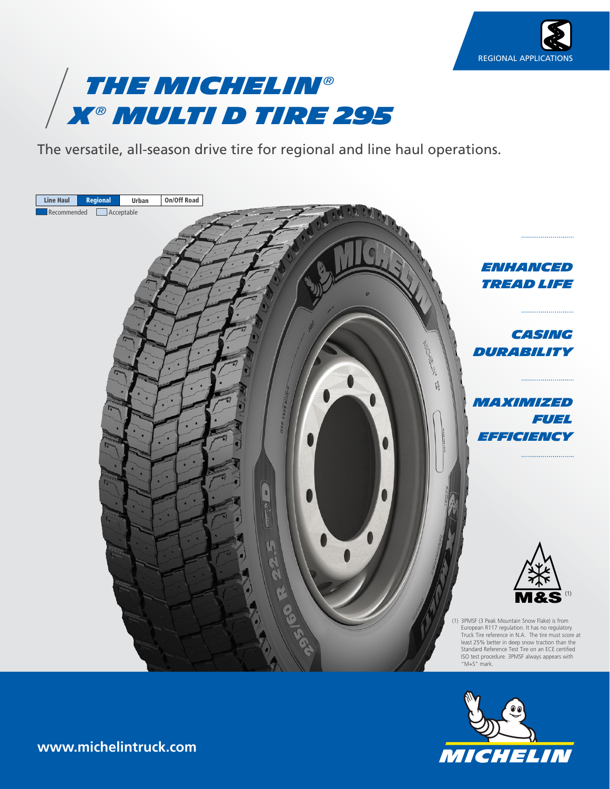



The versatile, all-season drive tire for regional and line haul operations.





**www.michelintruck.com**